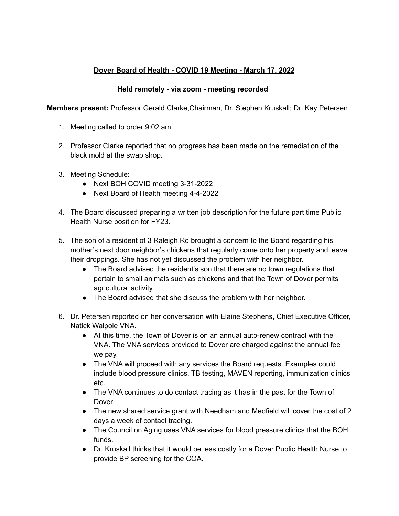## **Dover Board of Health - COVID 19 Meeting - March 17, 2022**

## **Held remotely - via zoom - meeting recorded**

**Members present:** Professor Gerald Clarke,Chairman, Dr. Stephen Kruskall; Dr. Kay Petersen

- 1. Meeting called to order 9:02 am
- 2. Professor Clarke reported that no progress has been made on the remediation of the black mold at the swap shop.
- 3. Meeting Schedule:
	- Next BOH COVID meeting 3-31-2022
	- Next Board of Health meeting 4-4-2022
- 4. The Board discussed preparing a written job description for the future part time Public Health Nurse position for FY23.
- 5. The son of a resident of 3 Raleigh Rd brought a concern to the Board regarding his mother's next door neighbor's chickens that regularly come onto her property and leave their droppings. She has not yet discussed the problem with her neighbor.
	- The Board advised the resident's son that there are no town regulations that pertain to small animals such as chickens and that the Town of Dover permits agricultural activity.
	- The Board advised that she discuss the problem with her neighbor.
- 6. Dr. Petersen reported on her conversation with Elaine Stephens, Chief Executive Officer, Natick Walpole VNA.
	- At this time, the Town of Dover is on an annual auto-renew contract with the VNA. The VNA services provided to Dover are charged against the annual fee we pay.
	- The VNA will proceed with any services the Board requests. Examples could include blood pressure clinics, TB testing, MAVEN reporting, immunization clinics etc.
	- The VNA continues to do contact tracing as it has in the past for the Town of Dover
	- The new shared service grant with Needham and Medfield will cover the cost of 2 days a week of contact tracing.
	- The Council on Aging uses VNA services for blood pressure clinics that the BOH funds.
	- Dr. Kruskall thinks that it would be less costly for a Dover Public Health Nurse to provide BP screening for the COA.